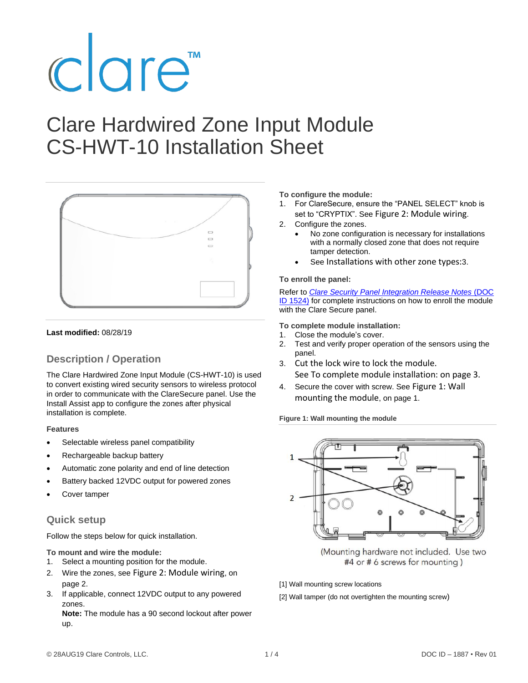# clare<sup>"</sup>

# Clare Hardwired Zone Input Module CS-HWT-10 Installation Sheet



#### **Last modified:** 08/28/19

# **Description / Operation**

The Clare Hardwired Zone Input Module (CS-HWT-10) is used to convert existing wired security sensors to wireless protocol in order to communicate with the ClareSecure panel. Use the Install Assist app to configure the zones after physical installation is complete.

#### **Features**

- Selectable wireless panel compatibility
- Rechargeable backup battery
- Automatic zone polarity and end of line detection
- Battery backed 12VDC output for powered zones
- Cover tamper

### **Quick setup**

Follow the steps below for quick installation.

**To mount and wire the module:** 

- 1. Select a mounting position for the module.
- 2. Wire the zones, see Figure [2: Module](#page-1-0) wiring, on pag[e 2.](#page-1-0)
- 3. If applicable, connect 12VDC output to any powered zones.

**Note:** The module has a 90 second lockout after power up.

**To configure the module:** 

- 1. For ClareSecure, ensure the "PANEL SELECT" knob is set to "CRYPTIX". See Figure [2: Module](#page-1-0) wiring.
- 2. Configure the zones.
	- No zone configuration is necessary for installations with a normally closed zone that does not require tamper detection.
	- See [Installations with other zone types:](#page-2-0)[3.](#page-2-0)

#### **To enroll the panel:**

Refer to *[Clare Security Panel Integration Release Notes](https://www.clarecontrols.com/helpcenter/connect-resolution-helix-integration-release-notes-doc-id-1524-rev-07)* (DOC [ID 1524\)](https://www.clarecontrols.com/helpcenter/connect-resolution-helix-integration-release-notes-doc-id-1524-rev-07) for complete instructions on how to enroll the module with the Clare Secure panel.

**To complete module installation:** 

- 1. Close the module's cover.
- 2. Test and verify proper operation of the sensors using the panel.
- 3. Cut the lock wire to lock the module. Se[e To complete module](#page-2-1) installation: on page [3.](#page-2-1)
- 4. Secure the cover with screw. See Figure [1: Wall](#page-0-0)  [mounting the](#page-0-0) module, on pag[e 1.](#page-0-0)

<span id="page-0-0"></span>**Figure 1: Wall mounting the module**



(Mounting hardware not included. Use two #4 or # 6 screws for mounting)

- [1] Wall mounting screw locations
- [2] Wall tamper (do not overtighten the mounting screw)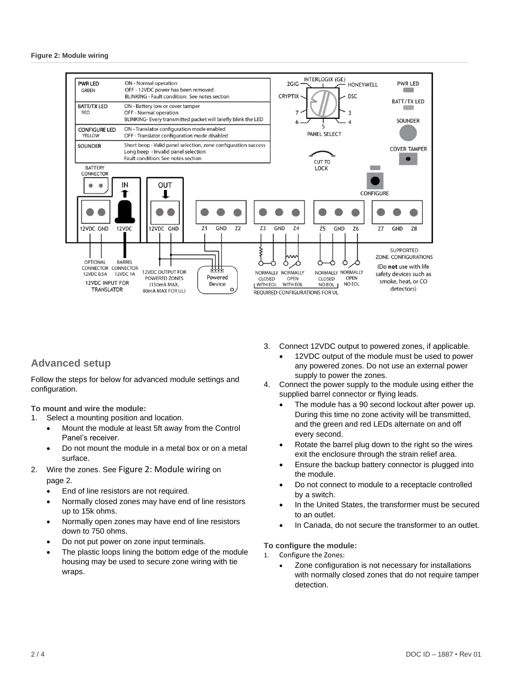<span id="page-1-0"></span>

# **Advanced setup**

Follow the steps for below for advanced module settings and configuration.

**To mount and wire the module:**

- 1. Select a mounting position and location.
	- Mount the module at least 5ft away from the Control Panel's receiver.
	- Do not mount the module in a metal box or on a metal surface.
- 2. Wire the zones. See Figure [2: Module](#page-1-0) wiring on pag[e 2.](#page-1-0)
	- End of line resistors are not required.
	- Normally closed zones may have end of line resistors up to 15k ohms.
	- Normally open zones may have end of line resistors down to 750 ohms.
	- Do not put power on zone input terminals.
	- The plastic loops lining the bottom edge of the module housing may be used to secure zone wiring with tie wraps.
- 3. Connect 12VDC output to powered zones, if applicable.
	- 12VDC output of the module must be used to power any powered zones. Do not use an external power supply to power the zones.
- 4. Connect the power supply to the module using either the supplied barrel connector or flying leads.
	- The module has a 90 second lockout after power up. During this time no zone activity will be transmitted, and the green and red LEDs alternate on and off every second.
	- Rotate the barrel plug down to the right so the wires exit the enclosure through the strain relief area.
	- Ensure the backup battery connector is plugged into the module.
	- Do not connect to module to a receptacle controlled by a switch.
	- In the United States, the transformer must be secured to an outlet.
	- In Canada, do not secure the transformer to an outlet.

**To configure the module:** 

- 1. Configure the Zones:
	- Zone configuration is not necessary for installations with normally closed zones that do not require tamper detection.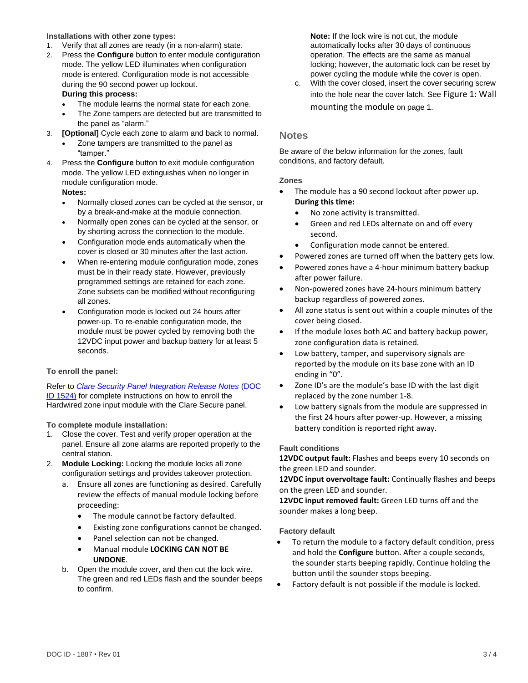#### <span id="page-2-0"></span>**Installations with other zone types:**

- 1. Verify that all zones are ready (in a non-alarm) state.
- 2. Press the **Configure** button to enter module configuration mode. The yellow LED illuminates when configuration mode is entered. Configuration mode is not accessible during the 90 second power up lockout. **During this process:**
	- The module learns the normal state for each zone.
	- The Zone tampers are detected but are transmitted to the panel as "alarm."
- 3. **[Optional]** Cycle each zone to alarm and back to normal.
	- Zone tampers are transmitted to the panel as "tamper."
- 4. Press the **Configure** button to exit module configuration mode. The yellow LED extinguishes when no longer in module configuration mode.

#### **Notes:**

- Normally closed zones can be cycled at the sensor, or by a break-and-make at the module connection.
- Normally open zones can be cycled at the sensor, or by shorting across the connection to the module.
- Configuration mode ends automatically when the cover is closed or 30 minutes after the last action.
- When re-entering module configuration mode, zones must be in their ready state. However, previously programmed settings are retained for each zone. Zone subsets can be modified without reconfiguring all zones.
- Configuration mode is locked out 24 hours after power-up. To re-enable configuration mode, the module must be power cycled by removing both the 12VDC input power and backup battery for at least 5 seconds.

#### **To enroll the panel:**

Refer to *[Clare Security Panel Integration Release Notes](https://www.clarecontrols.com/helpcenter/connect-resolution-helix-integration-release-notes-doc-id-1524-rev-07)* (DOC [ID 1524\)](https://www.clarecontrols.com/helpcenter/connect-resolution-helix-integration-release-notes-doc-id-1524-rev-07) for complete instructions on how to enroll the Hardwired zone input module with the Clare Secure panel.

<span id="page-2-1"></span>**To complete module installation:** 

- 1. Close the cover. Test and verify proper operation at the panel. Ensure all zone alarms are reported properly to the central station.
- 2. **Module Locking:** Locking the module locks all zone configuration settings and provides takeover protection.
	- a. Ensure all zones are functioning as desired. Carefully review the effects of manual module locking before proceeding:
		- The module cannot be factory defaulted.
		- Existing zone configurations cannot be changed.
		- Panel selection can not be changed. • Manual module **LOCKING CAN NOT BE UNDONE**.
	- b. Open the module cover, and then cut the lock wire. The green and red LEDs flash and the sounder beeps to confirm.

**Note:** If the lock wire is not cut, the module automatically locks after 30 days of continuous operation. The effects are the same as manual locking; however, the automatic lock can be reset by power cycling the module while the cover is open.

c. With the cover closed, insert the cover securing screw into the hole near the cover latch. See Figure [1: Wall](#page-0-0)  [mounting the](#page-0-0) module on page [1.](#page-0-0)

#### **Notes**

Be aware of the below information for the zones, fault conditions, and factory default.

#### **Zones**

- The module has a 90 second lockout after power up. **During this time:**
	- No zone activity is transmitted.
	- Green and red LEDs alternate on and off every second.
	- Configuration mode cannot be entered.
- Powered zones are turned off when the battery gets low.
- Powered zones have a 4-hour minimum battery backup after power failure.
- Non-powered zones have 24-hours minimum battery backup regardless of powered zones.
- All zone status is sent out within a couple minutes of the cover being closed.
- If the module loses both AC and battery backup power, zone configuration data is retained.
- Low battery, tamper, and supervisory signals are reported by the module on its base zone with an ID ending in "0".
- Zone ID's are the module's base ID with the last digit replaced by the zone number 1-8.
- Low battery signals from the module are suppressed in the first 24 hours after power-up. However, a missing battery condition is reported right away.

#### **Fault conditions**

**12VDC output fault:** Flashes and beeps every 10 seconds on the green LED and sounder.

**12VDC input overvoltage fault:** Continually flashes and beeps on the green LED and sounder.

**12VDC input removed fault:** Green LED turns off and the sounder makes a long beep.

#### **Factory default**

- To return the module to a factory default condition, press and hold the **Configure** button. After a couple seconds, the sounder starts beeping rapidly. Continue holding the button until the sounder stops beeping.
- Factory default is not possible if the module is locked.